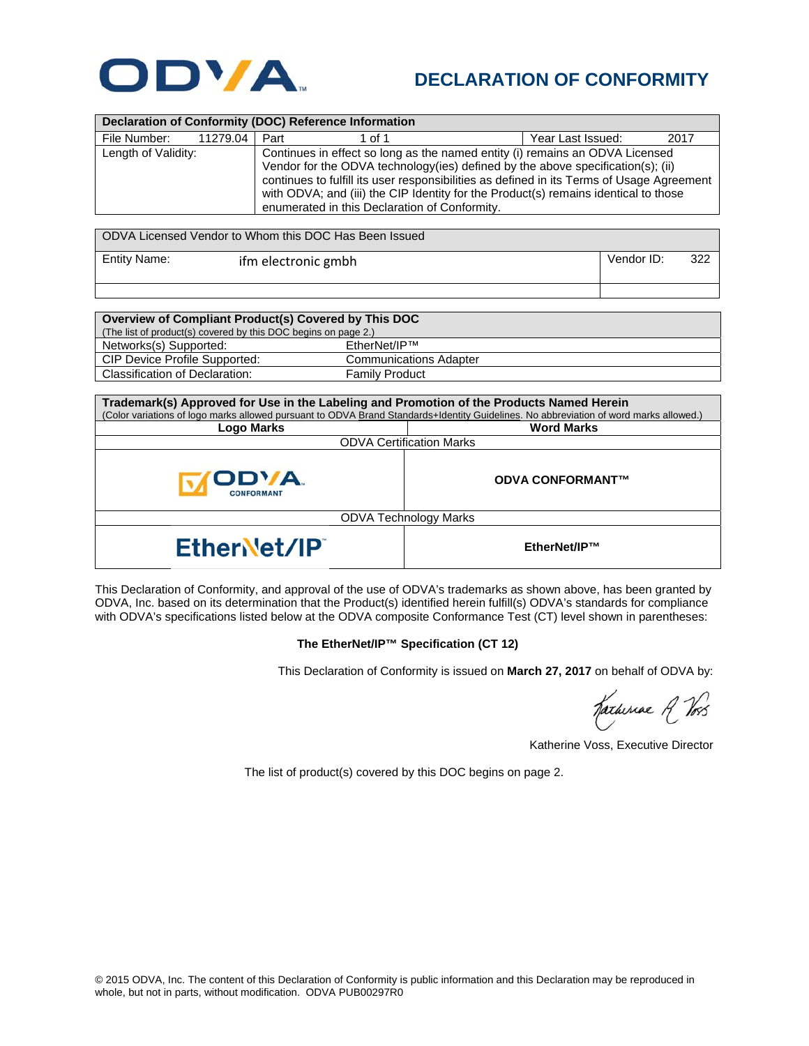

## **DECLARATION OF CONFORMITY**

| Declaration of Conformity (DOC) Reference Information |          |                                                                                                                                                                                                                                                                                                                                                                                                       |        |                   |      |  |  |
|-------------------------------------------------------|----------|-------------------------------------------------------------------------------------------------------------------------------------------------------------------------------------------------------------------------------------------------------------------------------------------------------------------------------------------------------------------------------------------------------|--------|-------------------|------|--|--|
| File Number:                                          | 11279.04 | Part                                                                                                                                                                                                                                                                                                                                                                                                  | 1 of 1 | Year Last Issued: | 2017 |  |  |
| Length of Validity:                                   |          | Continues in effect so long as the named entity (i) remains an ODVA Licensed<br>Vendor for the ODVA technology (ies) defined by the above specification(s); (ii)<br>continues to fulfill its user responsibilities as defined in its Terms of Usage Agreement<br>with ODVA; and (iii) the CIP Identity for the Product(s) remains identical to those<br>enumerated in this Declaration of Conformity. |        |                   |      |  |  |

| ODVA Licensed Vendor to Whom this DOC Has Been Issued |                     |            |     |  |  |
|-------------------------------------------------------|---------------------|------------|-----|--|--|
| Entity Name:                                          | ifm electronic gmbh | Vendor ID: | 322 |  |  |
|                                                       |                     |            |     |  |  |

| Overview of Compliant Product(s) Covered by This DOC           |                               |  |  |  |
|----------------------------------------------------------------|-------------------------------|--|--|--|
| (The list of product(s) covered by this DOC begins on page 2.) |                               |  |  |  |
| Networks(s) Supported:                                         | EtherNet/IP™                  |  |  |  |
| CIP Device Profile Supported:                                  | <b>Communications Adapter</b> |  |  |  |
| Classification of Declaration:                                 | <b>Family Product</b>         |  |  |  |

| Trademark(s) Approved for Use in the Labeling and Promotion of the Products Named Herein<br>(Color variations of logo marks allowed pursuant to ODVA Brand Standards+Identity Guidelines. No abbreviation of word marks allowed.) |                         |  |  |  |
|-----------------------------------------------------------------------------------------------------------------------------------------------------------------------------------------------------------------------------------|-------------------------|--|--|--|
| Logo Marks                                                                                                                                                                                                                        | <b>Word Marks</b>       |  |  |  |
| <b>ODVA Certification Marks</b>                                                                                                                                                                                                   |                         |  |  |  |
| OD'/A.<br><b>CONFORMANT</b>                                                                                                                                                                                                       | <b>ODVA CONFORMANT™</b> |  |  |  |
| <b>ODVA Technology Marks</b>                                                                                                                                                                                                      |                         |  |  |  |
| EtherNet/IP                                                                                                                                                                                                                       | EtherNet/IP™            |  |  |  |

This Declaration of Conformity, and approval of the use of ODVA's trademarks as shown above, has been granted by ODVA, Inc. based on its determination that the Product(s) identified herein fulfill(s) ODVA's standards for compliance with ODVA's specifications listed below at the ODVA composite Conformance Test (CT) level shown in parentheses:

## **The EtherNet/IP™ Specification (CT 12)**

This Declaration of Conformity is issued on **March 27, 2017** on behalf of ODVA by:

Hatheriae A Vos

Katherine Voss, Executive Director

The list of product(s) covered by this DOC begins on page 2.